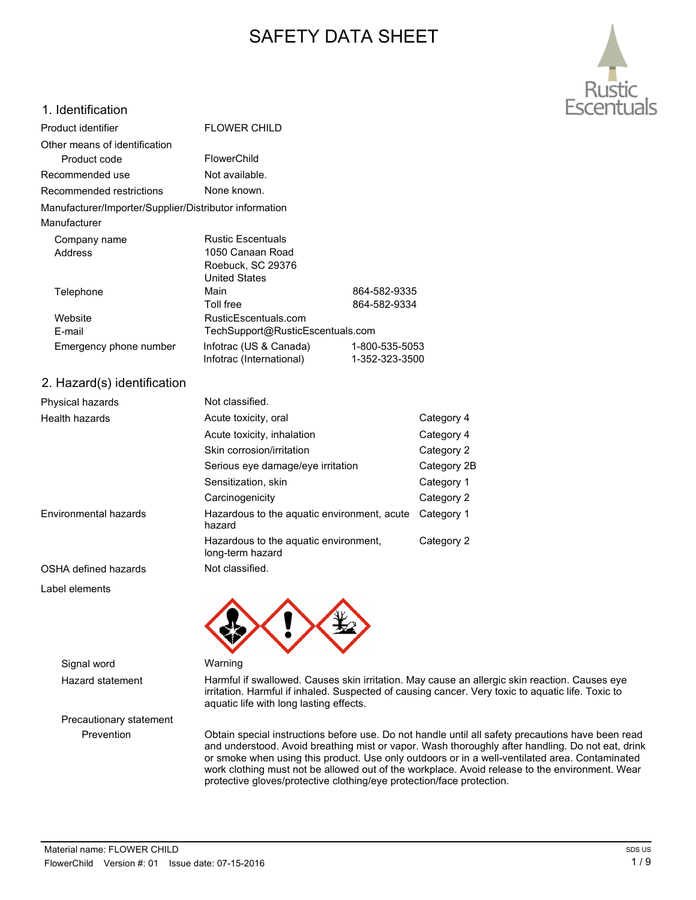# SAFETY DATA SHEET



### 1. Identification

| Product identifier                                     | <b>FLOWER CHILD</b>              |                |
|--------------------------------------------------------|----------------------------------|----------------|
| Other means of identification                          |                                  |                |
| Product code                                           | FlowerChild                      |                |
| Recommended use                                        | Not available.                   |                |
| Recommended restrictions                               | None known.                      |                |
| Manufacturer/Importer/Supplier/Distributor information |                                  |                |
| Manufacturer                                           |                                  |                |
| Company name                                           | <b>Rustic Escentuals</b>         |                |
| Address                                                | 1050 Canaan Road                 |                |
|                                                        | Roebuck, SC 29376                |                |
|                                                        | <b>United States</b>             |                |
| Telephone                                              | Main                             | 864-582-9335   |
|                                                        | Toll free                        | 864-582-9334   |
| Website                                                | RusticEscentuals.com             |                |
| E-mail                                                 | TechSupport@RusticEscentuals.com |                |
| Emergency phone number                                 | Infotrac (US & Canada)           | 1-800-535-5053 |
|                                                        | Infotrac (International)         | 1-352-323-3500 |
| 2. Hazard(s) identification                            |                                  |                |
| Physical hazards                                       | Not classified.                  |                |
| Health hazards                                         | Acute toxicity, oral             | Cal            |

| Health hazards        | Acute toxicity, oral                                      | Category 4  |
|-----------------------|-----------------------------------------------------------|-------------|
|                       | Acute toxicity, inhalation                                | Category 4  |
|                       | Skin corrosion/irritation                                 | Category 2  |
|                       | Serious eye damage/eye irritation                         | Category 2B |
|                       | Sensitization, skin                                       | Category 1  |
|                       | Carcinogenicity                                           | Category 2  |
| Environmental hazards | Hazardous to the aquatic environment, acute<br>hazard     | Category 1  |
|                       | Hazardous to the aquatic environment,<br>long-term hazard | Category 2  |
| OSHA defined hazards  | Not classified.                                           |             |

Label elements



Hazard statement Harmful if swallowed. Causes skin irritation. May cause an allergic skin reaction. Causes eye irritation. Harmful if inhaled. Suspected of causing cancer. Very toxic to aquatic life. Toxic to aquatic life with long lasting effects.

Prevention Obtain special instructions before use. Do not handle until all safety precautions have been read and understood. Avoid breathing mist or vapor. Wash thoroughly after handling. Do not eat, drink or smoke when using this product. Use only outdoors or in a well-ventilated area. Contaminated work clothing must not be allowed out of the workplace. Avoid release to the environment. Wear protective gloves/protective clothing/eye protection/face protection.

Signal word Warning

Precautionary statement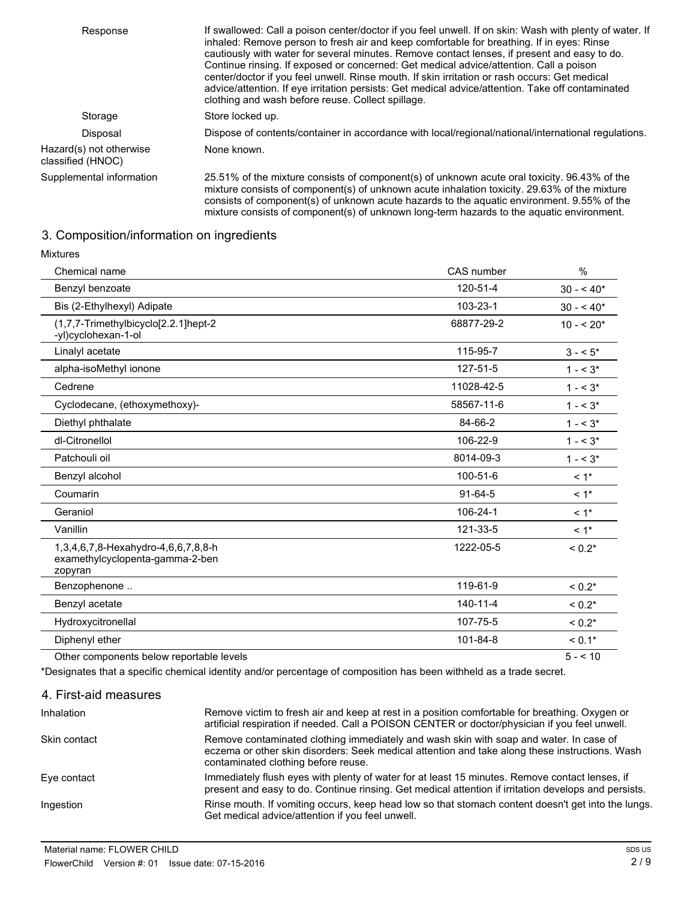| Response                                     | If swallowed: Call a poison center/doctor if you feel unwell. If on skin: Wash with plenty of water. If<br>inhaled: Remove person to fresh air and keep comfortable for breathing. If in eyes: Rinse<br>cautiously with water for several minutes. Remove contact lenses, if present and easy to do.<br>Continue rinsing. If exposed or concerned: Get medical advice/attention. Call a poison<br>center/doctor if you feel unwell. Rinse mouth. If skin irritation or rash occurs: Get medical<br>advice/attention. If eye irritation persists: Get medical advice/attention. Take off contaminated<br>clothing and wash before reuse. Collect spillage. |
|----------------------------------------------|-----------------------------------------------------------------------------------------------------------------------------------------------------------------------------------------------------------------------------------------------------------------------------------------------------------------------------------------------------------------------------------------------------------------------------------------------------------------------------------------------------------------------------------------------------------------------------------------------------------------------------------------------------------|
| Storage                                      | Store locked up.                                                                                                                                                                                                                                                                                                                                                                                                                                                                                                                                                                                                                                          |
| Disposal                                     | Dispose of contents/container in accordance with local/regional/national/international regulations.                                                                                                                                                                                                                                                                                                                                                                                                                                                                                                                                                       |
| Hazard(s) not otherwise<br>classified (HNOC) | None known.                                                                                                                                                                                                                                                                                                                                                                                                                                                                                                                                                                                                                                               |
| Supplemental information                     | 25.51% of the mixture consists of component(s) of unknown acute oral toxicity. 96.43% of the<br>mixture consists of component(s) of unknown acute inhalation toxicity. 29.63% of the mixture<br>consists of component(s) of unknown acute hazards to the aquatic environment. 9.55% of the<br>mixture consists of component(s) of unknown long-term hazards to the aquatic environment.                                                                                                                                                                                                                                                                   |

## 3. Composition/information on ingredients

| <b>Mixtures</b>                                                                   |                |                    |
|-----------------------------------------------------------------------------------|----------------|--------------------|
| Chemical name                                                                     | CAS number     | %                  |
| Benzyl benzoate                                                                   | 120-51-4       | $30 - 540*$        |
| Bis (2-Ethylhexyl) Adipate                                                        | 103-23-1       | $30 - 540*$        |
| (1,7,7-Trimethylbicyclo[2.2.1]hept-2<br>-yl)cyclohexan-1-ol                       | 68877-29-2     | $10 - 520*$        |
| Linalyl acetate                                                                   | 115-95-7       | $3 - 5$            |
| alpha-isoMethyl ionone                                                            | 127-51-5       | $1 - 5^*$          |
| Cedrene                                                                           | 11028-42-5     | $1 - 5^*$          |
| Cyclodecane, (ethoxymethoxy)-                                                     | 58567-11-6     | $1 - 5^*$          |
| Diethyl phthalate                                                                 | 84-66-2        | $1 - 5^*$          |
| dl-Citronellol                                                                    | 106-22-9       | $1 - 5^*$          |
| Patchouli oil                                                                     | 8014-09-3      | $1 - 5^*$          |
| Benzyl alcohol                                                                    | 100-51-6       | $< 1$ *            |
| Coumarin                                                                          | $91 - 64 - 5$  | $< 1$ *            |
| Geraniol                                                                          | 106-24-1       | $< 1$ <sup>*</sup> |
| Vanillin                                                                          | 121-33-5       | $< 1$ *            |
| 1,3,4,6,7,8-Hexahydro-4,6,6,7,8,8-h<br>examethylcyclopenta-gamma-2-ben<br>zopyran | 1222-05-5      | $< 0.2*$           |
| Benzophenone                                                                      | 119-61-9       | $< 0.2*$           |
| Benzyl acetate                                                                    | $140 - 11 - 4$ | $< 0.2*$           |
| Hydroxycitronellal                                                                | 107-75-5       | $< 0.2*$           |
| Diphenyl ether                                                                    | 101-84-8       | $< 0.1*$           |
| Other components below reportable levels                                          |                | $5 - 10$           |

\*Designates that a specific chemical identity and/or percentage of composition has been withheld as a trade secret.

| 4. First-aid measures |                                                                                                                                                                                                                                 |
|-----------------------|---------------------------------------------------------------------------------------------------------------------------------------------------------------------------------------------------------------------------------|
| Inhalation            | Remove victim to fresh air and keep at rest in a position comfortable for breathing. Oxygen or<br>artificial respiration if needed. Call a POISON CENTER or doctor/physician if you feel unwell.                                |
| Skin contact          | Remove contaminated clothing immediately and wash skin with soap and water. In case of<br>eczema or other skin disorders: Seek medical attention and take along these instructions. Wash<br>contaminated clothing before reuse. |
| Eye contact           | Immediately flush eyes with plenty of water for at least 15 minutes. Remove contact lenses, if<br>present and easy to do. Continue rinsing. Get medical attention if irritation develops and persists.                          |
| Ingestion             | Rinse mouth. If vomiting occurs, keep head low so that stomach content doesn't get into the lungs.<br>Get medical advice/attention if you feel unwell.                                                                          |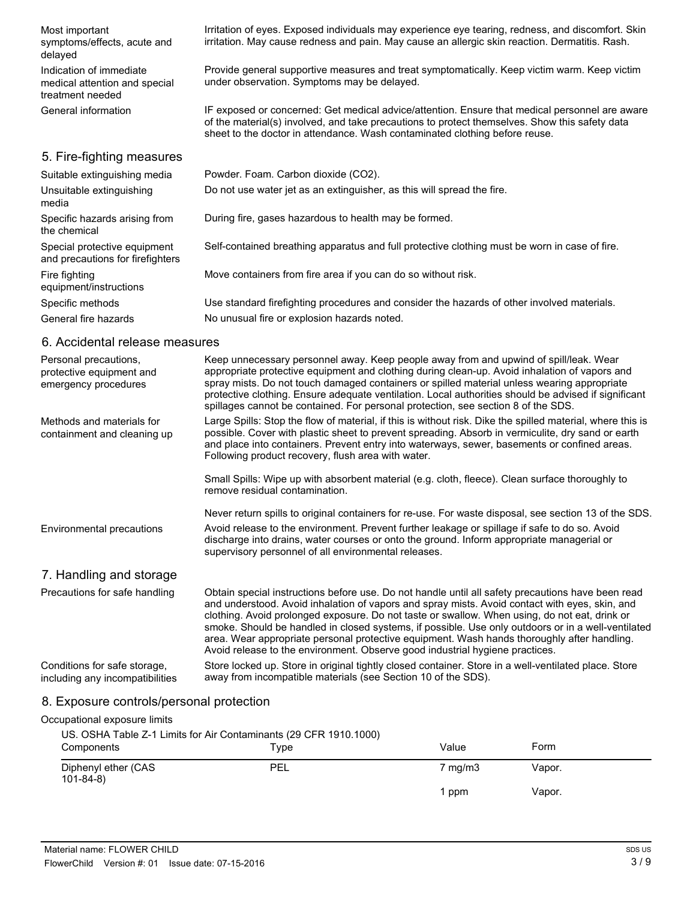| Most important<br>symptoms/effects, acute and<br>delayed                     | Irritation of eyes. Exposed individuals may experience eye tearing, redness, and discomfort. Skin<br>irritation. May cause redness and pain. May cause an allergic skin reaction. Dermatitis. Rash.                                                                             |
|------------------------------------------------------------------------------|---------------------------------------------------------------------------------------------------------------------------------------------------------------------------------------------------------------------------------------------------------------------------------|
| Indication of immediate<br>medical attention and special<br>treatment needed | Provide general supportive measures and treat symptomatically. Keep victim warm. Keep victim<br>under observation. Symptoms may be delayed.                                                                                                                                     |
| General information                                                          | IF exposed or concerned: Get medical advice/attention. Ensure that medical personnel are aware<br>of the material(s) involved, and take precautions to protect themselves. Show this safety data<br>sheet to the doctor in attendance. Wash contaminated clothing before reuse. |
| 5. Fire-fighting measures                                                    |                                                                                                                                                                                                                                                                                 |
| Suitable extinguishing media                                                 | Powder. Foam. Carbon dioxide (CO2).                                                                                                                                                                                                                                             |
| Unsuitable extinguishing<br>media                                            | Do not use water jet as an extinguisher, as this will spread the fire.                                                                                                                                                                                                          |
| Specific hazards arising from<br>the chemical                                | During fire, gases hazardous to health may be formed.                                                                                                                                                                                                                           |
| Special protective equipment<br>and precautions for firefighters             | Self-contained breathing apparatus and full protective clothing must be worn in case of fire.                                                                                                                                                                                   |
| Fire fighting<br>equipment/instructions                                      | Move containers from fire area if you can do so without risk.                                                                                                                                                                                                                   |
| Specific methods                                                             | Use standard firefighting procedures and consider the hazards of other involved materials.                                                                                                                                                                                      |
| General fire hazards                                                         | No unusual fire or explosion hazards noted.                                                                                                                                                                                                                                     |

#### 6. Accidental release measures

| Personal precautions,<br>protective equipment and<br>emergency procedures | Keep unnecessary personnel away. Keep people away from and upwind of spill/leak. Wear<br>appropriate protective equipment and clothing during clean-up. Avoid inhalation of vapors and<br>spray mists. Do not touch damaged containers or spilled material unless wearing appropriate<br>protective clothing. Ensure adequate ventilation. Local authorities should be advised if significant<br>spillages cannot be contained. For personal protection, see section 8 of the SDS.                                                                                                        |
|---------------------------------------------------------------------------|-------------------------------------------------------------------------------------------------------------------------------------------------------------------------------------------------------------------------------------------------------------------------------------------------------------------------------------------------------------------------------------------------------------------------------------------------------------------------------------------------------------------------------------------------------------------------------------------|
| Methods and materials for<br>containment and cleaning up                  | Large Spills: Stop the flow of material, if this is without risk. Dike the spilled material, where this is<br>possible. Cover with plastic sheet to prevent spreading. Absorb in vermiculite, dry sand or earth<br>and place into containers. Prevent entry into waterways, sewer, basements or confined areas.<br>Following product recovery, flush area with water.                                                                                                                                                                                                                     |
|                                                                           | Small Spills: Wipe up with absorbent material (e.g. cloth, fleece). Clean surface thoroughly to<br>remove residual contamination.                                                                                                                                                                                                                                                                                                                                                                                                                                                         |
|                                                                           | Never return spills to original containers for re-use. For waste disposal, see section 13 of the SDS.                                                                                                                                                                                                                                                                                                                                                                                                                                                                                     |
| Environmental precautions                                                 | Avoid release to the environment. Prevent further leakage or spillage if safe to do so. Avoid<br>discharge into drains, water courses or onto the ground. Inform appropriate managerial or<br>supervisory personnel of all environmental releases.                                                                                                                                                                                                                                                                                                                                        |
| 7. Handling and storage                                                   |                                                                                                                                                                                                                                                                                                                                                                                                                                                                                                                                                                                           |
| Precautions for safe handling                                             | Obtain special instructions before use. Do not handle until all safety precautions have been read<br>and understood. Avoid inhalation of vapors and spray mists. Avoid contact with eyes, skin, and<br>clothing. Avoid prolonged exposure. Do not taste or swallow. When using, do not eat, drink or<br>smoke. Should be handled in closed systems, if possible. Use only outdoors or in a well-ventilated<br>area. Wear appropriate personal protective equipment. Wash hands thoroughly after handling.<br>Avoid release to the environment. Observe good industrial hygiene practices. |
| Conditions for safe storage,<br>including any incompatibilities           | Store locked up. Store in original tightly closed container. Store in a well-ventilated place. Store<br>away from incompatible materials (see Section 10 of the SDS).                                                                                                                                                                                                                                                                                                                                                                                                                     |

## 8. Exposure controls/personal protection

| Occupational exposure limits          |                                                                           |                    |        |  |
|---------------------------------------|---------------------------------------------------------------------------|--------------------|--------|--|
| Components                            | US. OSHA Table Z-1 Limits for Air Contaminants (29 CFR 1910.1000)<br>Type | Value              | Form   |  |
| Diphenyl ether (CAS<br>$101 - 84 - 8$ | PEL                                                                       | $7 \text{ mg/m}$ 3 | Vapor. |  |
|                                       |                                                                           | 1 ppm              | Vapor. |  |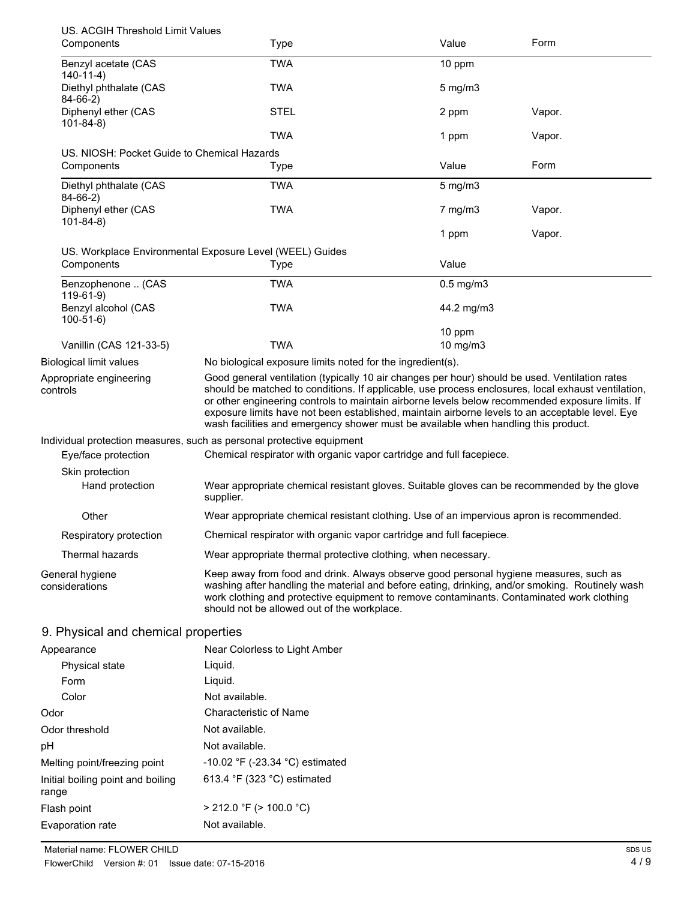| US. ACGIH Threshold Limit Values            |                                                                                                                                                                                                                                                                                                                                                                                                                                                                                                  |                         |        |
|---------------------------------------------|--------------------------------------------------------------------------------------------------------------------------------------------------------------------------------------------------------------------------------------------------------------------------------------------------------------------------------------------------------------------------------------------------------------------------------------------------------------------------------------------------|-------------------------|--------|
| Components                                  | Type                                                                                                                                                                                                                                                                                                                                                                                                                                                                                             | Value                   | Form   |
| Benzyl acetate (CAS<br>$140-11-4)$          | <b>TWA</b>                                                                                                                                                                                                                                                                                                                                                                                                                                                                                       | 10 ppm                  |        |
| Diethyl phthalate (CAS<br>$84-66-2)$        | <b>TWA</b>                                                                                                                                                                                                                                                                                                                                                                                                                                                                                       | $5$ mg/m $3$            |        |
| Diphenyl ether (CAS<br>$101 - 84 - 8$       | <b>STEL</b>                                                                                                                                                                                                                                                                                                                                                                                                                                                                                      | 2 ppm                   | Vapor. |
|                                             | <b>TWA</b>                                                                                                                                                                                                                                                                                                                                                                                                                                                                                       | 1 ppm                   | Vapor. |
| US. NIOSH: Pocket Guide to Chemical Hazards |                                                                                                                                                                                                                                                                                                                                                                                                                                                                                                  |                         |        |
| Components                                  | Type                                                                                                                                                                                                                                                                                                                                                                                                                                                                                             | Value                   | Form   |
| Diethyl phthalate (CAS<br>$84-66-2)$        | <b>TWA</b>                                                                                                                                                                                                                                                                                                                                                                                                                                                                                       | $5$ mg/m $3$            |        |
| Diphenyl ether (CAS<br>$101 - 84 - 8$       | <b>TWA</b>                                                                                                                                                                                                                                                                                                                                                                                                                                                                                       | $7$ mg/m $3$            | Vapor. |
|                                             |                                                                                                                                                                                                                                                                                                                                                                                                                                                                                                  | 1 ppm                   | Vapor. |
|                                             | US. Workplace Environmental Exposure Level (WEEL) Guides                                                                                                                                                                                                                                                                                                                                                                                                                                         |                         |        |
| Components                                  | Type                                                                                                                                                                                                                                                                                                                                                                                                                                                                                             | Value                   |        |
| Benzophenone  (CAS<br>$119-61-9$            | <b>TWA</b>                                                                                                                                                                                                                                                                                                                                                                                                                                                                                       | $0.5$ mg/m $3$          |        |
| Benzyl alcohol (CAS<br>$100 - 51 - 6$       | <b>TWA</b>                                                                                                                                                                                                                                                                                                                                                                                                                                                                                       | 44.2 mg/m3              |        |
| Vanillin (CAS 121-33-5)                     | <b>TWA</b>                                                                                                                                                                                                                                                                                                                                                                                                                                                                                       | 10 ppm<br>$10$ mg/m $3$ |        |
| Biological limit values                     | No biological exposure limits noted for the ingredient(s).                                                                                                                                                                                                                                                                                                                                                                                                                                       |                         |        |
| Appropriate engineering<br>controls         | Good general ventilation (typically 10 air changes per hour) should be used. Ventilation rates<br>should be matched to conditions. If applicable, use process enclosures, local exhaust ventilation,<br>or other engineering controls to maintain airborne levels below recommended exposure limits. If<br>exposure limits have not been established, maintain airborne levels to an acceptable level. Eye<br>wash facilities and emergency shower must be available when handling this product. |                         |        |
|                                             | Individual protection measures, such as personal protective equipment                                                                                                                                                                                                                                                                                                                                                                                                                            |                         |        |
| Eye/face protection                         | Chemical respirator with organic vapor cartridge and full facepiece.                                                                                                                                                                                                                                                                                                                                                                                                                             |                         |        |
| Skin protection                             |                                                                                                                                                                                                                                                                                                                                                                                                                                                                                                  |                         |        |
| Hand protection                             | Wear appropriate chemical resistant gloves. Suitable gloves can be recommended by the glove<br>supplier.                                                                                                                                                                                                                                                                                                                                                                                         |                         |        |
| Other                                       | Wear appropriate chemical resistant clothing. Use of an impervious apron is recommended.                                                                                                                                                                                                                                                                                                                                                                                                         |                         |        |
| Respiratory protection                      | Chemical respirator with organic vapor cartridge and full facepiece.                                                                                                                                                                                                                                                                                                                                                                                                                             |                         |        |
| Thermal hazards                             | Wear appropriate thermal protective clothing, when necessary.                                                                                                                                                                                                                                                                                                                                                                                                                                    |                         |        |
| General hygiene<br>considerations           | Keep away from food and drink. Always observe good personal hygiene measures, such as<br>washing after handling the material and before eating, drinking, and/or smoking. Routinely wash<br>work clothing and protective equipment to remove contaminants. Contaminated work clothing<br>should not be allowed out of the workplace.                                                                                                                                                             |                         |        |
| 9. Physical and chemical properties         |                                                                                                                                                                                                                                                                                                                                                                                                                                                                                                  |                         |        |
| Appearance                                  | Near Colorless to Light Amber                                                                                                                                                                                                                                                                                                                                                                                                                                                                    |                         |        |
| <b>Physical state</b>                       | Liquid.                                                                                                                                                                                                                                                                                                                                                                                                                                                                                          |                         |        |
| $E_{\text{arm}}$                            | <b>biruoi</b> L                                                                                                                                                                                                                                                                                                                                                                                                                                                                                  |                         |        |

| Form                                       | Liquid.                              |
|--------------------------------------------|--------------------------------------|
| Color                                      | Not available.                       |
| Odor                                       | Characteristic of Name               |
| Odor threshold                             | Not available.                       |
| рH                                         | Not available.                       |
| Melting point/freezing point               | $-10.02$ °F ( $-23.34$ °C) estimated |
| Initial boiling point and boiling<br>range | 613.4 °F (323 °C) estimated          |
| Flash point                                | $>$ 212.0 °F ( $>$ 100.0 °C)         |
| Evaporation rate                           | Not available.                       |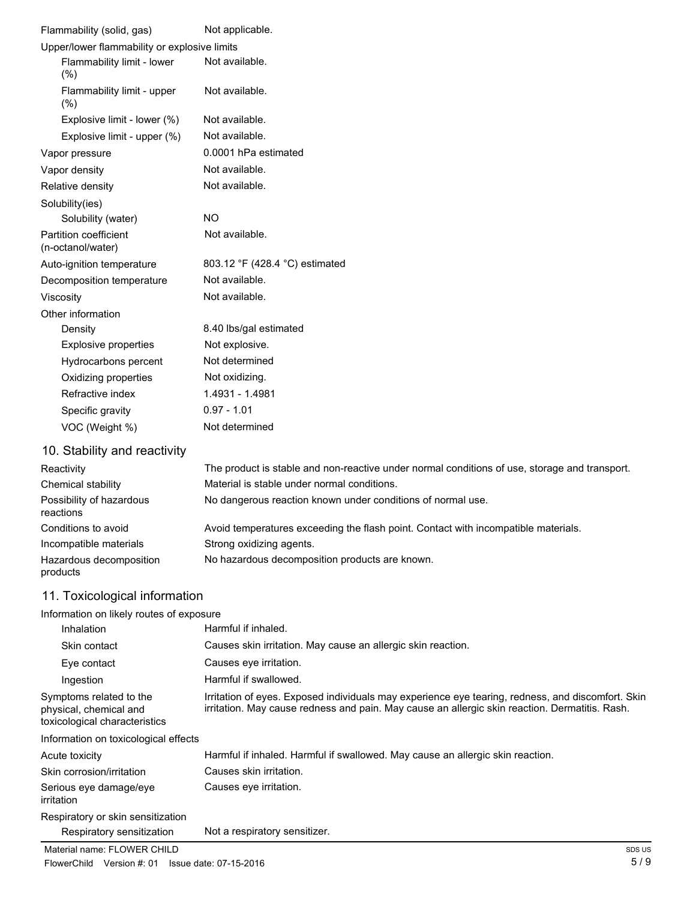| Flammability (solid, gas)                         | Not applicable.                |
|---------------------------------------------------|--------------------------------|
| Upper/lower flammability or explosive limits      |                                |
| Flammability limit - lower<br>(%)                 | Not available.                 |
| Flammability limit - upper<br>(% )                | Not available.                 |
| Explosive limit - lower (%)                       | Not available.                 |
| Explosive limit - upper (%)                       | Not available.                 |
| Vapor pressure                                    | 0.0001 hPa estimated           |
| Vapor density                                     | Not available.                 |
| Relative density                                  | Not available.                 |
| Solubility(ies)                                   |                                |
| Solubility (water)                                | <b>NO</b>                      |
| <b>Partition coefficient</b><br>(n-octanol/water) | Not available.                 |
| Auto-ignition temperature                         | 803.12 °F (428.4 °C) estimated |
| Decomposition temperature                         | Not available.                 |
| Viscosity                                         | Not available.                 |
| Other information                                 |                                |
| Density                                           | 8.40 lbs/gal estimated         |
| <b>Explosive properties</b>                       | Not explosive.                 |
| Hydrocarbons percent                              | Not determined                 |
| Oxidizing properties                              | Not oxidizing.                 |
| Refractive index                                  | 1.4931 - 1.4981                |
| Specific gravity                                  | $0.97 - 1.01$                  |
| VOC (Weight %)                                    | Not determined                 |
| 10 Stability and reactivity                       |                                |

#### 10. Stability and reactivity

| Reactivity                            | The product is stable and non-reactive under normal conditions of use, storage and transport. |
|---------------------------------------|-----------------------------------------------------------------------------------------------|
| Chemical stability                    | Material is stable under normal conditions.                                                   |
| Possibility of hazardous<br>reactions | No dangerous reaction known under conditions of normal use.                                   |
| Conditions to avoid                   | Avoid temperatures exceeding the flash point. Contact with incompatible materials.            |
| Incompatible materials                | Strong oxidizing agents.                                                                      |
| Hazardous decomposition<br>products   | No hazardous decomposition products are known.                                                |

## 11. Toxicological information

| Information on likely routes of exposure                                           |                                                                                                                                                                                                     |
|------------------------------------------------------------------------------------|-----------------------------------------------------------------------------------------------------------------------------------------------------------------------------------------------------|
| Inhalation                                                                         | Harmful if inhaled.                                                                                                                                                                                 |
| Skin contact                                                                       | Causes skin irritation. May cause an allergic skin reaction.                                                                                                                                        |
| Eye contact                                                                        | Causes eye irritation.                                                                                                                                                                              |
| Ingestion                                                                          | Harmful if swallowed.                                                                                                                                                                               |
| Symptoms related to the<br>physical, chemical and<br>toxicological characteristics | Irritation of eyes. Exposed individuals may experience eye tearing, redness, and discomfort. Skin<br>irritation. May cause redness and pain. May cause an allergic skin reaction. Dermatitis. Rash. |
| Information on toxicological effects                                               |                                                                                                                                                                                                     |
| Acute toxicity                                                                     | Harmful if inhaled. Harmful if swallowed. May cause an allergic skin reaction.                                                                                                                      |
| Skin corrosion/irritation                                                          | Causes skin irritation.                                                                                                                                                                             |
| Serious eye damage/eye<br>irritation                                               | Causes eve irritation.                                                                                                                                                                              |
| Respiratory or skin sensitization                                                  |                                                                                                                                                                                                     |
| Respiratory sensitization                                                          | Not a respiratory sensitizer.                                                                                                                                                                       |
| Material name: FLOWER CHILD                                                        | SDS US                                                                                                                                                                                              |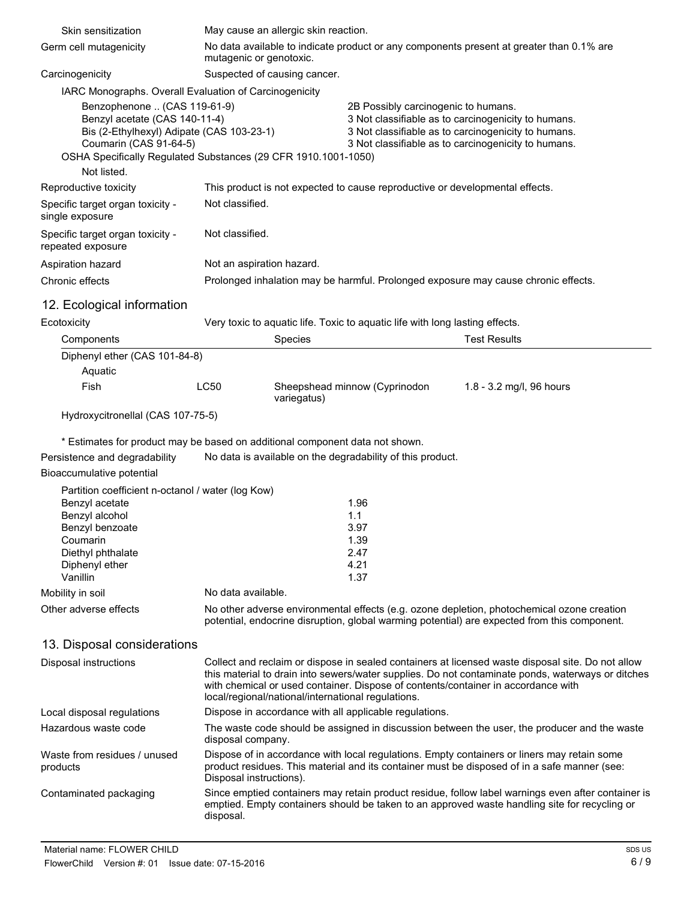| Skin sensitization                                                                                                                                                      | May cause an allergic skin reaction.                                                                                                                                                                                                                                                                                                              |                                                     |                                                                                                                                                                                                     |
|-------------------------------------------------------------------------------------------------------------------------------------------------------------------------|---------------------------------------------------------------------------------------------------------------------------------------------------------------------------------------------------------------------------------------------------------------------------------------------------------------------------------------------------|-----------------------------------------------------|-----------------------------------------------------------------------------------------------------------------------------------------------------------------------------------------------------|
| Germ cell mutagenicity                                                                                                                                                  | No data available to indicate product or any components present at greater than 0.1% are<br>mutagenic or genotoxic.                                                                                                                                                                                                                               |                                                     |                                                                                                                                                                                                     |
| Carcinogenicity                                                                                                                                                         | Suspected of causing cancer.                                                                                                                                                                                                                                                                                                                      |                                                     |                                                                                                                                                                                                     |
| IARC Monographs. Overall Evaluation of Carcinogenicity                                                                                                                  |                                                                                                                                                                                                                                                                                                                                                   |                                                     |                                                                                                                                                                                                     |
| Benzophenone  (CAS 119-61-9)<br>Benzyl acetate (CAS 140-11-4)<br>Bis (2-Ethylhexyl) Adipate (CAS 103-23-1)<br>Coumarin (CAS 91-64-5)<br>Not listed.                     | OSHA Specifically Regulated Substances (29 CFR 1910.1001-1050)                                                                                                                                                                                                                                                                                    | 2B Possibly carcinogenic to humans.                 | 3 Not classifiable as to carcinogenicity to humans.<br>3 Not classifiable as to carcinogenicity to humans.<br>3 Not classifiable as to carcinogenicity to humans.                                   |
| Reproductive toxicity                                                                                                                                                   | This product is not expected to cause reproductive or developmental effects.                                                                                                                                                                                                                                                                      |                                                     |                                                                                                                                                                                                     |
| Specific target organ toxicity -<br>single exposure                                                                                                                     | Not classified.                                                                                                                                                                                                                                                                                                                                   |                                                     |                                                                                                                                                                                                     |
| Specific target organ toxicity -<br>repeated exposure                                                                                                                   | Not classified.                                                                                                                                                                                                                                                                                                                                   |                                                     |                                                                                                                                                                                                     |
| Aspiration hazard                                                                                                                                                       | Not an aspiration hazard.                                                                                                                                                                                                                                                                                                                         |                                                     |                                                                                                                                                                                                     |
| Chronic effects                                                                                                                                                         | Prolonged inhalation may be harmful. Prolonged exposure may cause chronic effects.                                                                                                                                                                                                                                                                |                                                     |                                                                                                                                                                                                     |
| 12. Ecological information                                                                                                                                              |                                                                                                                                                                                                                                                                                                                                                   |                                                     |                                                                                                                                                                                                     |
| Ecotoxicity                                                                                                                                                             | Very toxic to aquatic life. Toxic to aquatic life with long lasting effects.                                                                                                                                                                                                                                                                      |                                                     |                                                                                                                                                                                                     |
| Components                                                                                                                                                              | Species                                                                                                                                                                                                                                                                                                                                           |                                                     | <b>Test Results</b>                                                                                                                                                                                 |
| Diphenyl ether (CAS 101-84-8)<br>Aquatic                                                                                                                                |                                                                                                                                                                                                                                                                                                                                                   |                                                     |                                                                                                                                                                                                     |
| Fish                                                                                                                                                                    | <b>LC50</b><br>variegatus)                                                                                                                                                                                                                                                                                                                        | Sheepshead minnow (Cyprinodon                       | 1.8 - 3.2 mg/l, 96 hours                                                                                                                                                                            |
| Hydroxycitronellal (CAS 107-75-5)                                                                                                                                       |                                                                                                                                                                                                                                                                                                                                                   |                                                     |                                                                                                                                                                                                     |
| Persistence and degradability<br>Bioaccumulative potential                                                                                                              | * Estimates for product may be based on additional component data not shown.<br>No data is available on the degradability of this product.                                                                                                                                                                                                        |                                                     |                                                                                                                                                                                                     |
| Partition coefficient n-octanol / water (log Kow)<br>Benzyl acetate<br>Benzyl alcohol<br>Benzyl benzoate<br>Coumarin<br>Diethyl phthalate<br>Diphenyl ether<br>Vanillin |                                                                                                                                                                                                                                                                                                                                                   | 1.96<br>1.1<br>3.97<br>1.39<br>2.47<br>4.21<br>1.37 |                                                                                                                                                                                                     |
| Mobility in soil                                                                                                                                                        | No data available.                                                                                                                                                                                                                                                                                                                                |                                                     |                                                                                                                                                                                                     |
| Other adverse effects                                                                                                                                                   | No other adverse environmental effects (e.g. ozone depletion, photochemical ozone creation<br>potential, endocrine disruption, global warming potential) are expected from this component.                                                                                                                                                        |                                                     |                                                                                                                                                                                                     |
| 13. Disposal considerations                                                                                                                                             |                                                                                                                                                                                                                                                                                                                                                   |                                                     |                                                                                                                                                                                                     |
| Disposal instructions                                                                                                                                                   | Collect and reclaim or dispose in sealed containers at licensed waste disposal site. Do not allow<br>this material to drain into sewers/water supplies. Do not contaminate ponds, waterways or ditches<br>with chemical or used container. Dispose of contents/container in accordance with<br>local/regional/national/international regulations. |                                                     |                                                                                                                                                                                                     |
| Local disposal regulations                                                                                                                                              | Dispose in accordance with all applicable regulations.                                                                                                                                                                                                                                                                                            |                                                     |                                                                                                                                                                                                     |
| Hazardous waste code                                                                                                                                                    | The waste code should be assigned in discussion between the user, the producer and the waste<br>disposal company.                                                                                                                                                                                                                                 |                                                     |                                                                                                                                                                                                     |
| Waste from residues / unused<br>products                                                                                                                                | Dispose of in accordance with local regulations. Empty containers or liners may retain some<br>product residues. This material and its container must be disposed of in a safe manner (see:<br>Disposal instructions).                                                                                                                            |                                                     |                                                                                                                                                                                                     |
| Contaminated packaging                                                                                                                                                  | disposal.                                                                                                                                                                                                                                                                                                                                         |                                                     | Since emptied containers may retain product residue, follow label warnings even after container is<br>emptied. Empty containers should be taken to an approved waste handling site for recycling or |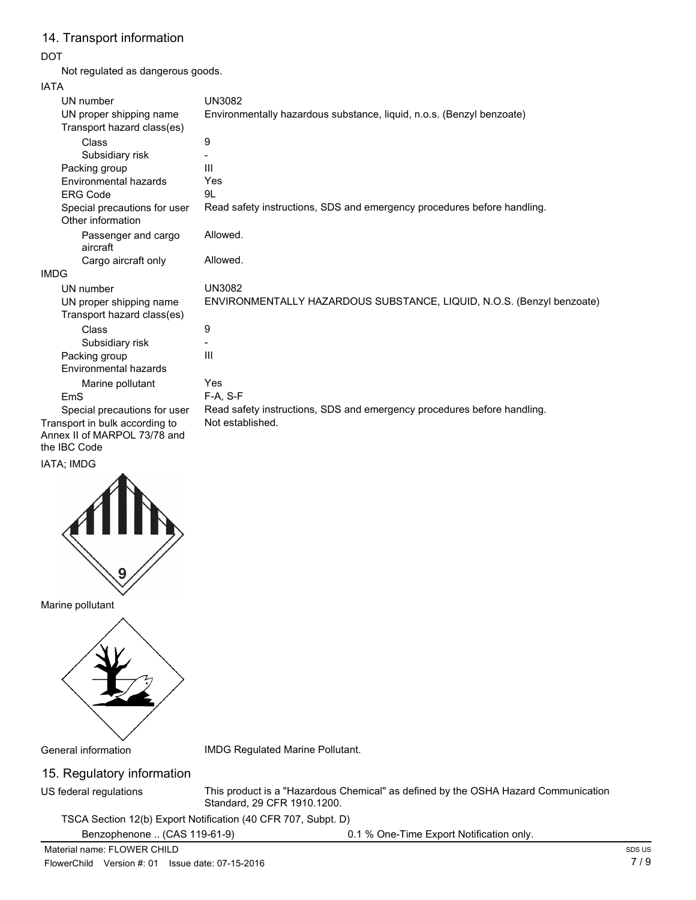## 14. Transport information

#### DOT

Not regulated as dangerous goods.

#### IATA

| UN number                                             | <b>UN3082</b>                                                           |
|-------------------------------------------------------|-------------------------------------------------------------------------|
| UN proper shipping name                               | Environmentally hazardous substance, liquid, n.o.s. (Benzyl benzoate)   |
| Transport hazard class(es)                            |                                                                         |
| Class                                                 | 9                                                                       |
| Subsidiary risk                                       |                                                                         |
| Packing group                                         | Ш                                                                       |
| Environmental hazards                                 | Yes                                                                     |
| <b>ERG Code</b>                                       | 9L                                                                      |
| Special precautions for user<br>Other information     | Read safety instructions, SDS and emergency procedures before handling. |
| Passenger and cargo<br>aircraft                       | Allowed.                                                                |
| Cargo aircraft only                                   | Allowed.                                                                |
| <b>IMDG</b>                                           |                                                                         |
| UN number                                             | <b>UN3082</b>                                                           |
| UN proper shipping name<br>Transport hazard class(es) | ENVIRONMENTALLY HAZARDOUS SUBSTANCE, LIQUID, N.O.S. (Benzyl benzoate)   |
| Class                                                 | 9                                                                       |
| Subsidiary risk                                       |                                                                         |
| Packing group                                         | Ш                                                                       |
| Environmental hazards                                 |                                                                         |
| Marine pollutant                                      | Yes                                                                     |
| F <sub>m</sub> S                                      | $F-A, S-F$                                                              |
| Special precautions for user                          | Read safety instructions, SDS and emergency procedures before handling. |
| Transport in bulk according to                        | Not established.                                                        |
| Annex II of MARPOL 73/78 and                          |                                                                         |
| the IBC Code                                          |                                                                         |

#### IATA; IMDG



Marine pollutant



General information IMDG Regulated Marine Pollutant.

## 15. Regulatory information

US federal regulations

This product is a "Hazardous Chemical" as defined by the OSHA Hazard Communication Standard, 29 CFR 1910.1200.

TSCA Section 12(b) Export Notification (40 CFR 707, Subpt. D)

Benzophenone .. (CAS 119-61-9) 0.1 % One-Time Export Notification only.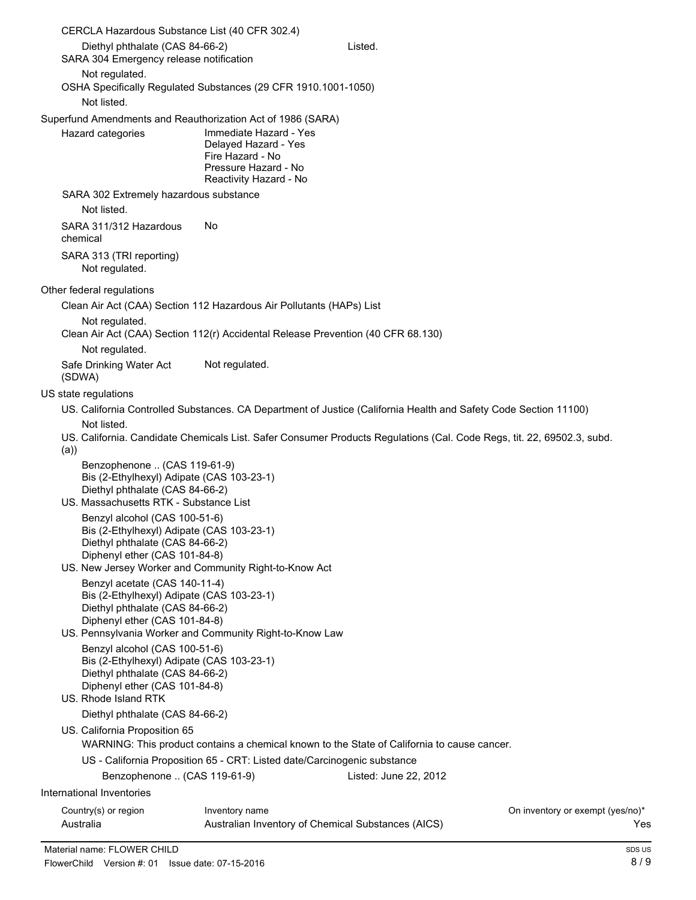| CERCLA Hazardous Substance List (40 CFR 302.4)                                                                                                                                                            |                                                                                                                      |                                                                                                                        |                                  |
|-----------------------------------------------------------------------------------------------------------------------------------------------------------------------------------------------------------|----------------------------------------------------------------------------------------------------------------------|------------------------------------------------------------------------------------------------------------------------|----------------------------------|
| Diethyl phthalate (CAS 84-66-2)<br>SARA 304 Emergency release notification                                                                                                                                |                                                                                                                      | Listed.                                                                                                                |                                  |
| Not regulated.<br>OSHA Specifically Regulated Substances (29 CFR 1910.1001-1050)<br>Not listed.                                                                                                           |                                                                                                                      |                                                                                                                        |                                  |
| Superfund Amendments and Reauthorization Act of 1986 (SARA)<br>Hazard categories                                                                                                                          | Immediate Hazard - Yes<br>Delayed Hazard - Yes<br>Fire Hazard - No<br>Pressure Hazard - No<br>Reactivity Hazard - No |                                                                                                                        |                                  |
| SARA 302 Extremely hazardous substance<br>Not listed.                                                                                                                                                     |                                                                                                                      |                                                                                                                        |                                  |
| SARA 311/312 Hazardous<br>chemical                                                                                                                                                                        | No.                                                                                                                  |                                                                                                                        |                                  |
| SARA 313 (TRI reporting)<br>Not regulated.                                                                                                                                                                |                                                                                                                      |                                                                                                                        |                                  |
| Other federal regulations                                                                                                                                                                                 |                                                                                                                      |                                                                                                                        |                                  |
| Clean Air Act (CAA) Section 112 Hazardous Air Pollutants (HAPs) List                                                                                                                                      |                                                                                                                      |                                                                                                                        |                                  |
| Not regulated.<br>Clean Air Act (CAA) Section 112(r) Accidental Release Prevention (40 CFR 68.130)                                                                                                        |                                                                                                                      |                                                                                                                        |                                  |
| Not regulated.                                                                                                                                                                                            |                                                                                                                      |                                                                                                                        |                                  |
| Safe Drinking Water Act<br>(SDWA)                                                                                                                                                                         | Not regulated.                                                                                                       |                                                                                                                        |                                  |
| US state regulations                                                                                                                                                                                      |                                                                                                                      |                                                                                                                        |                                  |
|                                                                                                                                                                                                           |                                                                                                                      | US. California Controlled Substances. CA Department of Justice (California Health and Safety Code Section 11100)       |                                  |
| Not listed.<br>(a)                                                                                                                                                                                        |                                                                                                                      | US. California. Candidate Chemicals List. Safer Consumer Products Regulations (Cal. Code Regs, tit. 22, 69502.3, subd. |                                  |
| Benzophenone  (CAS 119-61-9)<br>Bis (2-Ethylhexyl) Adipate (CAS 103-23-1)<br>Diethyl phthalate (CAS 84-66-2)<br>US. Massachusetts RTK - Substance List<br>Benzyl alcohol (CAS 100-51-6)                   |                                                                                                                      |                                                                                                                        |                                  |
| Bis (2-Ethylhexyl) Adipate (CAS 103-23-1)<br>Diethyl phthalate (CAS 84-66-2)<br>Diphenyl ether (CAS 101-84-8)                                                                                             |                                                                                                                      |                                                                                                                        |                                  |
| US. New Jersey Worker and Community Right-to-Know Act                                                                                                                                                     |                                                                                                                      |                                                                                                                        |                                  |
| Benzyl acetate (CAS 140-11-4)<br>Bis (2-Ethylhexyl) Adipate (CAS 103-23-1)<br>Diethyl phthalate (CAS 84-66-2)<br>Diphenyl ether (CAS 101-84-8)<br>US. Pennsylvania Worker and Community Right-to-Know Law |                                                                                                                      |                                                                                                                        |                                  |
| Benzyl alcohol (CAS 100-51-6)<br>Bis (2-Ethylhexyl) Adipate (CAS 103-23-1)<br>Diethyl phthalate (CAS 84-66-2)<br>Diphenyl ether (CAS 101-84-8)<br>US. Rhode Island RTK                                    |                                                                                                                      |                                                                                                                        |                                  |
| Diethyl phthalate (CAS 84-66-2)                                                                                                                                                                           |                                                                                                                      |                                                                                                                        |                                  |
| US. California Proposition 65                                                                                                                                                                             |                                                                                                                      | WARNING: This product contains a chemical known to the State of California to cause cancer.                            |                                  |
|                                                                                                                                                                                                           | US - California Proposition 65 - CRT: Listed date/Carcinogenic substance                                             |                                                                                                                        |                                  |
| Benzophenone  (CAS 119-61-9)                                                                                                                                                                              |                                                                                                                      | Listed: June 22, 2012                                                                                                  |                                  |
| International Inventories                                                                                                                                                                                 |                                                                                                                      |                                                                                                                        |                                  |
| Country(s) or region                                                                                                                                                                                      | Inventory name                                                                                                       |                                                                                                                        | On inventory or exempt (yes/no)* |
| Australia                                                                                                                                                                                                 | Australian Inventory of Chemical Substances (AICS)                                                                   |                                                                                                                        | Yes                              |